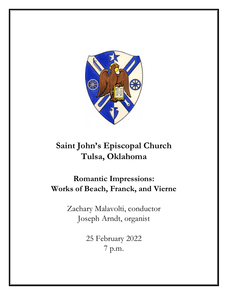

# **Saint John's Episcopal Church Tulsa, Oklahoma**

# **Romantic Impressions: Works of Beach, Franck, and Vierne**

Zachary Malavolti, conductor Joseph Arndt, organist

> 25 February 2022 7 p.m.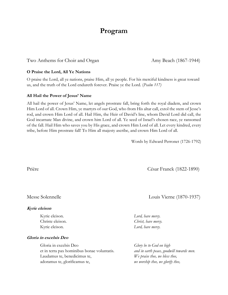## **Program**

Two Anthems for Choir and Organ Amy Beach (1867-1944)

#### **O Praise the Lord, All Ye Nations**

O praise the Lord, all ye nations, praise Him, all ye people. For his merciful kindness is great toward us, and the truth of the Lord endureth forever. Praise ye the Lord. (*Psalm 117)*

#### **All Hail the Power of Jesus' Name**

All hail the power of Jesus' Name, let angels prostrate fall, bring forth the royal diadem, and crown Him Lord of all. Crown Him, ye martyrs of our God, who from His altar call, extol the stem of Jesse's rod, and crown Him Lord of all. Hail Him, the Heir of David's line, whom David Lord did call, the God incarnate Man divine, and crown him Lord of all. Ye seed of Israel's chosen race, ye ransomed of the fall. Hail Him who saves you by His grace, and crown Him Lord of all. Let every kindred, every tribe, before Him prostrate fall! To Him all majesty ascribe, and crown Him Lord of all.

Words by Edward Perronet (1726-1792)

Prière César Franck (1822-1890)

#### **Kyrie eleison**

#### **Gloria in excelsis Deo**

Gloria in excelsis Deo *Glory be to God on high* et in terra pax hominibus bonae voluntatis. *and in earth peace, goodwill towards men.* Laudamus te, benedicimus te, *We praise thee, we bless thee,* adoramus te, glorificamus te, *we worship thee, we glorify thee,*

Messe Solennelle Louis Vierne (1870-1937)

Kyrie eleison. *Lord, have mercy.* Christe eleison. *Christ, have mercy.* Kyrie eleison. *Lord, have mercy.*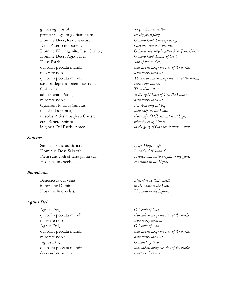gratias agimus tibi *we give thanks to thee* propter magnam gloriam tuam, *for thy great glory,* Domine Deus, Rex caelestis, *O Lord God, heavenly King,* Deus Pater omnipotens. **God the Father Almighty.** Domine Deus, Agnus Dei, *O Lord God, Lamb of God,* Filius Patris, *Son of the Father,* qui tollis peccata mundi, *that takest away the sins of the world,* miserere nobis; *have mercy upon us.* suscipe deprecationem nostram. *receive our prayer.* Qui sedes *Thou that sittest*  ad dexteram Patris, *at the right hand of God the Father,* miserere nobis. *have mercy upon us.* Quoniam tu solus Sanctus, *For thou only art holy;* tu solus Dominus, *thou only art the Lord;* tu solus Altissimus, Jesu Christe, *thou only, O Christ, art most high,*  cum Sancto Spiritu *with the Holy Ghost* in gloria Dei Patris. Amen. *in the glory of God the Father. Amen.*

#### **Sanctus**

Sanctus, Sanctus, Sanctus *Holy, Holy, Holy* Dominus Deus Sabaoth. *Lord God of Sabaoth.* Pleni sunt caeli et terra gloria tua. *Heaven and earth are full of thy glory*. Hosanna in excelsis. *Hosanna in the highest.*

#### **Benedictus**

Benedictus qui venit *Blessed is he that cometh* in nomine Domini. *in the name of the Lord.* Hosanna in excelsis. *Hosanna in the highest.*

#### **Agnus Dei**

Agnus Dei, *O Lamb of God,*  miserere nobis. *have mercy upon us.* Agnus Dei, *O Lamb of God,* miserere nobis. *have mercy upon us.* Agnus Dei, *O Lamb of God,* dona nobis pacem. *grant us thy peace.*

Domine Fili unigenite, Jesu Christe, *O Lord, the only-begotten Son, Jesus Christ;* qui tollis peccata mundi, *Thou that takest away the sins of the world,*

qui tollis peccata mundi: *that takest away the sins of the world:* qui tollis peccata mundi: *that takest away the sins of the world:* qui tollis peccata mundi: *that takest away the sins of the world:*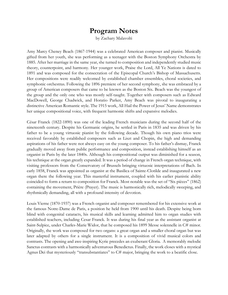## **Program Notes**

by Zachary Malavolti

Amy Marcy Cheney Beach (1867-1944) was a celebrated American composer and pianist. Musically gifted from her youth, she was performing as a teenager with the Boston Symphony Orchestra by 1885. After her marriage in the same year, she turned to composition and independently studied music theory, counterpoint, and harmony. Her younger work, Praise the Lord, All Ye Nations is dated to 1891 and was composed for the consecration of the Episcopal Church's Bishop of Massachusetts. Her compositions were readily welcomed by established chamber ensembles, choral societies, and symphonic orchestras. Following the 1896 premiere of her second symphony, she was embraced by a group of American composers that came to be known as the Boston Six. Beach was the youngest of the group and the only one who was mostly self-taught. Together with composers such as Edward MacDowell, George Chadwick, and Horatio Parker, Amy Beach was pivotal to inaugurating a distinctive American Romantic style. The 1915 work, All Hail the Power of Jesus' Name demonstrates her unique compositional voice, with frequent harmonic shifts and expansive melodies.

César Franck (1822-1890) was one of the leading French musicians during the second half of the nineteenth century. Despite his Germanic origins, he settled in Paris in 1835 and was driven by his father to be a young virtuosic pianist by the following decade. Though his own piano trios were received favorably by established composers such as Liszt and Chopin, the high and demanding aspirations of his father were not always easy on the young composer. To his father's dismay, Franck gradually moved away from public performance and composition, instead establishing himself as an organist in Paris by the later 1840s. Although his compositional output was diminished for a season, his technique at the organ greatly expanded. It was a period of change in French organ technique, with visiting professors from the Conservatory of Brussels bringing virtuosic interpretations of Bach. In early 1858, Franck was appointed as organist at the Basilica of Sainte-Clotilde and inaugurated a new organ there the following year. This masterful instrument, coupled with his earlier pianistic ability coincided to form a return to composition for Franck. Most notable was the set of "Six pièces" (1862) containing the movement, Prière (Prayer). The music is harmonically rich, melodically sweeping, and rhythmically demanding, all with a profound intensity of devotion.

Louis Vierne (1870-1937) was a French organist and composer remembered for his extensive work at the famous Notre-Dame de Paris, a position he held from 1900 until his death. Despite being born blind with congenital cataracts, his musical skills and learning admitted him to organ studies with established teachers, including Cesar Franck. It was during his final year as the assistant organist at Saint-Sulpice, under Charles-Marie Widor, that he composed his 1899 Messe solennelle in C# minor. Originally, the work was composed for two organs: a great organ and a smaller choral organ but was later adapted by others for a single instrument. It is a composition of vivid musical colors and contrasts. The opening and awe-inspiring Kyrie precedes an exuberant Gloria. A memorably melodic Sanctus contrasts with a harmonically adventurous Benedictus. Finally, the work closes with a mystical Agnus Dei that mysteriously "transubstantiates" to C# major, bringing the work to a beatific close.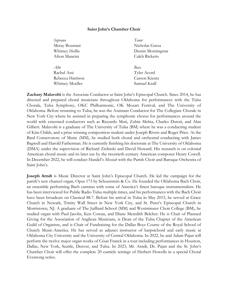#### **Saint John's Chamber Choir**

| Soprano          | Tenor                 |
|------------------|-----------------------|
| Meray Boustani   | Nicholas Garza        |
| Whitney Hollis   | Dustin Morningstar    |
| Afton Mancini    | <b>Caleb Ricketts</b> |
|                  |                       |
| Rachel Assi      | Tyler Acord           |
| Rebecca Harrison | Carson Kientz         |
| Whitney Moeller  | Samuel Krall          |

**Zachary Malavolti** is the Associate Conductor at Saint John's Episcopal Church. Since 2014, he has directed and prepared choral musicians throughout Oklahoma for performances with the Tulsa Chorale, Tulsa Symphony, OKC Philharmonic, OK Mozart Festival, and The University of Oklahoma. Before returning to Tulsa, he was the Assistant Conductor for The Collegiate Chorale in New York City where he assisted in preparing the symphonic chorus for performances around the world with esteemed conductors such as Riccardo Muti, Zubin Mehta, Charles Dutoit, and Alan Gilbert. Malavolti is a graduate of The University of Tulsa (BM) where he was a conducting student of Kim Childs, and a prize winning composition student under Joseph Rivers and Roger Price. At the Bard Conservatory of Music (MM), he studied both choral and orchestral conducting with James Bagwell and Harold Farberman. He is currently finishing his doctorate at The University of Oklahoma (DMA) under the supervision of Richard Zielinski and David Howard. His research is on colonial American choral music and its later use by the twentieth-century American composer Henry Cowell. In December 2022, he will conduct Handel's *Messiah* with the Parish Choir and Baroque Orchestra of Saint John's.

**Joseph Arndt** is Music Director at Saint John's Episcopal Church. He led the campaign for the parish's new chancel organ, Opus 173 by Schoenstein & Co. He founded the Oklahoma Bach Choir, an ensemble performing Bach cantatas with some of America's finest baroque instrumentalists. He has been interviewed for Public Radio Tulsa multiple times, and his performances with the Bach Choir have been broadcast on Classical 88.7. Before his arrival in Tulsa in May 2015, he served at Grace Church in Newark, Trinity Wall Street in New York City, and St. Peter's Episcopal Church in Morristown, NJ. A graduate of The Juilliard School (MM) and Westminster Choir College (BM), he studied organ with Paul Jacobs, Ken Cowan, and Diane Meredith Belcher. He is Chair of Planned Giving for the Association of Anglican Musicians, is Dean of the Tulsa Chapter of the American Guild of Organists, and is Chair of Fundraising for the Dallas Boys Course of the Royal School of Church Music-America. He has served as adjunct instructor of harpsichord and early music at Oklahoma City University and the University of Central Oklahoma. In 2022, he and Adam Pajan will perform the twelve major organ works of César Franck in a tour including performances in Houston, Dallas, New York, Seattle, Denver, and Tulsa. In 2023, Mr. Arndt, Dr. Pajan and the St. John's Chamber Choir will offer the complete 20 canticle settings of Herbert Howells in a special Choral Evensong series.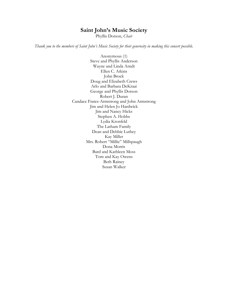## **Saint John's Music Society**

Phyllis Dotson, *Chair*

*Thank you to the members of Saint John's Music Society for their generosity in making this concert possible.*

Anonymous (1) Steve and Phyllis Anderson Wayne and Linda Arndt Ellen C. Atkins John Brock Doug and Elizabeth Crews Arlo and Barbara DeKraai George and Phyllis Dotson Robert J. Duran Candace Frates-Armstrong and John Armstrong Jim and Helen Jo Hardwick Jim and Nancy Hicks Stephen A. Hobbs Lydia Kronfeld The Latham Family Dean and Debbie Luthey Kay Miller Mrs. Robert "Millie" Millspaugh Dona Morris Bard and Kathleen Moss Tom and Kay Owens Beth Rainey Susan Walker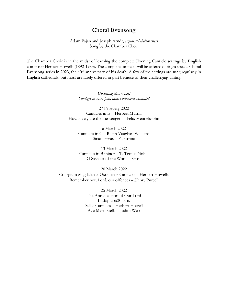### **Choral Evensong**

Adam Pajan and Joseph Arndt, *organists/choirmasters* Sung by the Chamber Choir

The Chamber Choir is in the midst of learning the complete Evening Canticle settings by English composer Herbert Howells (1892-1983). The complete canticles will be offered during a special Choral Evensong series in 2023, the 40<sup>th</sup> anniversary of his death. A few of the settings are sung regularly in English cathedrals, but most are rarely offered in part because of their challenging writing.

> *Upcoming Music List Sundays at 5:30 p.m. unless otherwise indicated*

27 February 2022 Canticles in E – Herbert Murrill How lovely are the messengers – Felix Mendelssohn

> 6 March 2022 Canticles in C – Ralph Vaughan Williams Sicut cervus – Palestrina

13 March 2022 Canticles in B minor – T. Tertius Noble O Saviour of the World – Goss

20 March 2022 Collegium Magdalenae Oxoniense Canticles – Herbert Howells Remember not, Lord, our offences – Henry Purcell

> 25 March 2022 The Annunciation of Our Lord Friday at 6:30 p.m. Dallas Canticles – Herbert Howells Ave Maris Stella – Judith Weir